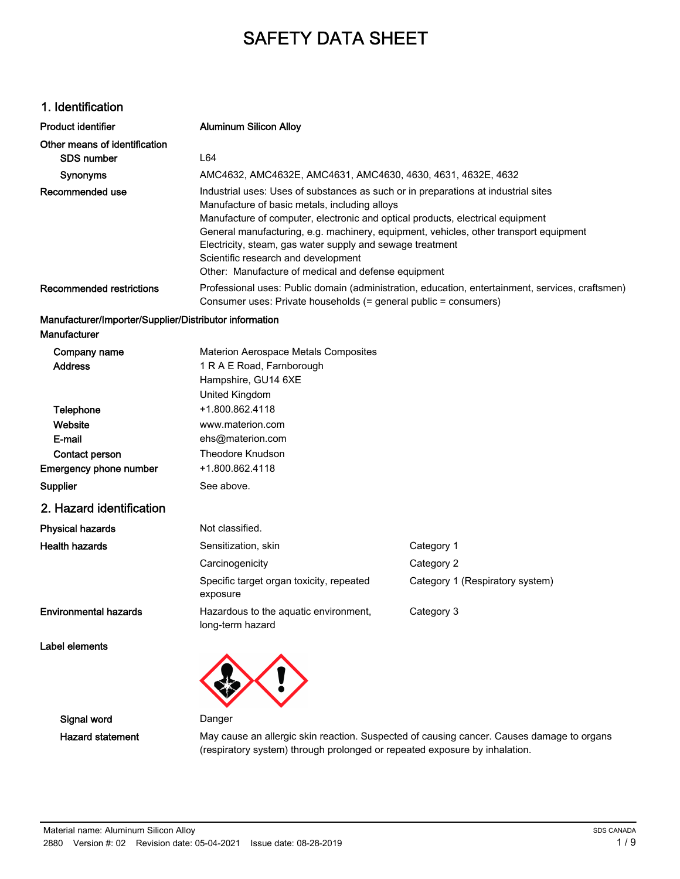# SAFETY DATA SHEET

### 1. Identification

| <b>Product identifier</b>                              | <b>Aluminum Silicon Alloy</b>                                                                                                                                                                                                                                                                                                                                                    |                                                                                                  |  |
|--------------------------------------------------------|----------------------------------------------------------------------------------------------------------------------------------------------------------------------------------------------------------------------------------------------------------------------------------------------------------------------------------------------------------------------------------|--------------------------------------------------------------------------------------------------|--|
| Other means of identification                          |                                                                                                                                                                                                                                                                                                                                                                                  |                                                                                                  |  |
| SDS number                                             | L64                                                                                                                                                                                                                                                                                                                                                                              |                                                                                                  |  |
| Synonyms                                               | AMC4632, AMC4632E, AMC4631, AMC4630, 4630, 4631, 4632E, 4632                                                                                                                                                                                                                                                                                                                     |                                                                                                  |  |
| Recommended use                                        | Industrial uses: Uses of substances as such or in preparations at industrial sites<br>Manufacture of basic metals, including alloys<br>Manufacture of computer, electronic and optical products, electrical equipment<br>Electricity, steam, gas water supply and sewage treatment<br>Scientific research and development<br>Other: Manufacture of medical and defense equipment | General manufacturing, e.g. machinery, equipment, vehicles, other transport equipment            |  |
| <b>Recommended restrictions</b>                        | Consumer uses: Private households (= general public = consumers)                                                                                                                                                                                                                                                                                                                 | Professional uses: Public domain (administration, education, entertainment, services, craftsmen) |  |
| Manufacturer/Importer/Supplier/Distributor information |                                                                                                                                                                                                                                                                                                                                                                                  |                                                                                                  |  |
| Manufacturer                                           |                                                                                                                                                                                                                                                                                                                                                                                  |                                                                                                  |  |
| Company name                                           | Materion Aerospace Metals Composites                                                                                                                                                                                                                                                                                                                                             |                                                                                                  |  |
| <b>Address</b>                                         | 1 R A E Road, Farnborough                                                                                                                                                                                                                                                                                                                                                        |                                                                                                  |  |
|                                                        | Hampshire, GU14 6XE                                                                                                                                                                                                                                                                                                                                                              |                                                                                                  |  |
|                                                        | United Kingdom                                                                                                                                                                                                                                                                                                                                                                   |                                                                                                  |  |
| Telephone                                              | +1.800.862.4118                                                                                                                                                                                                                                                                                                                                                                  |                                                                                                  |  |
| Website                                                | www.materion.com                                                                                                                                                                                                                                                                                                                                                                 |                                                                                                  |  |
| E-mail                                                 | ehs@materion.com                                                                                                                                                                                                                                                                                                                                                                 |                                                                                                  |  |
| Contact person                                         | <b>Theodore Knudson</b>                                                                                                                                                                                                                                                                                                                                                          |                                                                                                  |  |
| <b>Emergency phone number</b>                          | +1.800.862.4118                                                                                                                                                                                                                                                                                                                                                                  |                                                                                                  |  |
| <b>Supplier</b>                                        | See above.                                                                                                                                                                                                                                                                                                                                                                       |                                                                                                  |  |
| 2. Hazard identification                               |                                                                                                                                                                                                                                                                                                                                                                                  |                                                                                                  |  |
| <b>Physical hazards</b>                                | Not classified.                                                                                                                                                                                                                                                                                                                                                                  |                                                                                                  |  |
| <b>Health hazards</b>                                  | Sensitization, skin                                                                                                                                                                                                                                                                                                                                                              | Category 1                                                                                       |  |
|                                                        | Carcinogenicity                                                                                                                                                                                                                                                                                                                                                                  | Category 2                                                                                       |  |
|                                                        | Specific target organ toxicity, repeated                                                                                                                                                                                                                                                                                                                                         | Category 1 (Respiratory system)                                                                  |  |

Hazardous to the aquatic environment, Category 3

Environmental hazards

Label elements

long-term hazard

exposure

Signal word Danger

Hazard statement May cause an allergic skin reaction. Suspected of causing cancer. Causes damage to organs (respiratory system) through prolonged or repeated exposure by inhalation.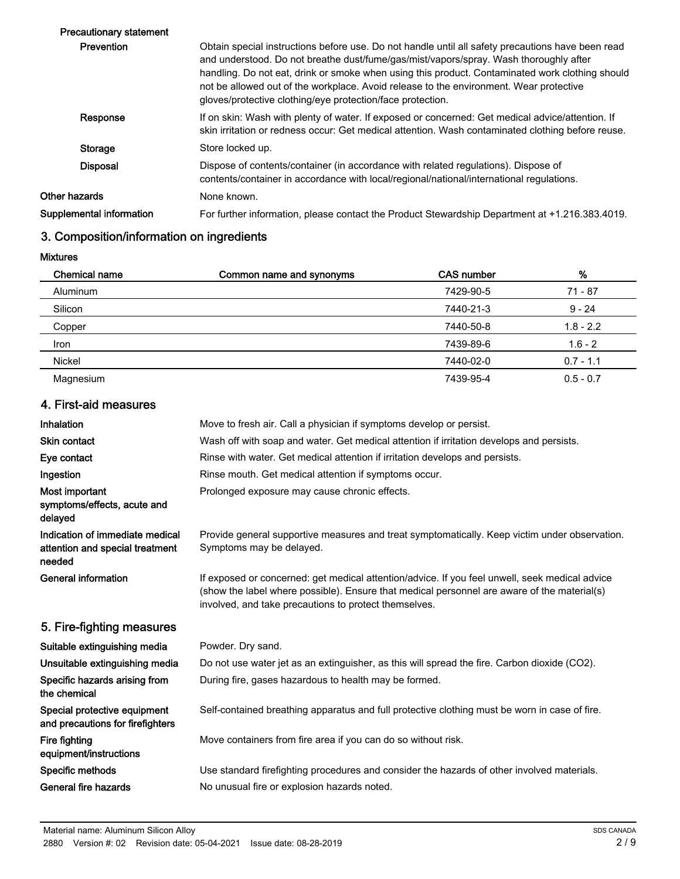| <b>Precautionary statement</b> |                                                                                                                                                                                                                                                                                                                                                                                                                                                       |
|--------------------------------|-------------------------------------------------------------------------------------------------------------------------------------------------------------------------------------------------------------------------------------------------------------------------------------------------------------------------------------------------------------------------------------------------------------------------------------------------------|
| <b>Prevention</b>              | Obtain special instructions before use. Do not handle until all safety precautions have been read<br>and understood. Do not breathe dust/fume/gas/mist/vapors/spray. Wash thoroughly after<br>handling. Do not eat, drink or smoke when using this product. Contaminated work clothing should<br>not be allowed out of the workplace. Avoid release to the environment. Wear protective<br>gloves/protective clothing/eye protection/face protection. |
| Response                       | If on skin: Wash with plenty of water. If exposed or concerned: Get medical advice/attention. If<br>skin irritation or redness occur: Get medical attention. Wash contaminated clothing before reuse.                                                                                                                                                                                                                                                 |
| Storage                        | Store locked up.                                                                                                                                                                                                                                                                                                                                                                                                                                      |
| <b>Disposal</b>                | Dispose of contents/container (in accordance with related regulations). Dispose of<br>contents/container in accordance with local/regional/national/international regulations.                                                                                                                                                                                                                                                                        |
| Other hazards                  | None known.                                                                                                                                                                                                                                                                                                                                                                                                                                           |
| Supplemental information       | For further information, please contact the Product Stewardship Department at +1.216.383.4019.                                                                                                                                                                                                                                                                                                                                                        |
|                                |                                                                                                                                                                                                                                                                                                                                                                                                                                                       |

# 3. Composition/information on ingredients

Mixtures

| <b>Chemical name</b> | Common name and synonyms | CAS number | %           |
|----------------------|--------------------------|------------|-------------|
| Aluminum             |                          | 7429-90-5  | $71 - 87$   |
| Silicon              |                          | 7440-21-3  | $9 - 24$    |
| Copper               |                          | 7440-50-8  | $1.8 - 2.2$ |
| Iron                 |                          | 7439-89-6  | $1.6 - 2$   |
| <b>Nickel</b>        |                          | 7440-02-0  | $0.7 - 1.1$ |
| Magnesium            |                          | 7439-95-4  | $0.5 - 0.7$ |

# 4. First-aid measures

| Inhalation                                                                   | Move to fresh air. Call a physician if symptoms develop or persist.                                                                                                                                                                                    |
|------------------------------------------------------------------------------|--------------------------------------------------------------------------------------------------------------------------------------------------------------------------------------------------------------------------------------------------------|
| <b>Skin contact</b>                                                          | Wash off with soap and water. Get medical attention if irritation develops and persists.                                                                                                                                                               |
| Eye contact                                                                  | Rinse with water. Get medical attention if irritation develops and persists.                                                                                                                                                                           |
| Ingestion                                                                    | Rinse mouth. Get medical attention if symptoms occur.                                                                                                                                                                                                  |
| Most important<br>symptoms/effects, acute and<br>delayed                     | Prolonged exposure may cause chronic effects.                                                                                                                                                                                                          |
| Indication of immediate medical<br>attention and special treatment<br>needed | Provide general supportive measures and treat symptomatically. Keep victim under observation.<br>Symptoms may be delayed.                                                                                                                              |
| <b>General information</b>                                                   | If exposed or concerned: get medical attention/advice. If you feel unwell, seek medical advice<br>(show the label where possible). Ensure that medical personnel are aware of the material(s)<br>involved, and take precautions to protect themselves. |
| 5. Fire-fighting measures                                                    |                                                                                                                                                                                                                                                        |
| Suitable extinguishing media                                                 | Powder. Dry sand.                                                                                                                                                                                                                                      |
| Unsuitable extinguishing media                                               | Do not use water jet as an extinguisher, as this will spread the fire. Carbon dioxide (CO2).                                                                                                                                                           |
| Specific hazards arising from<br>the chemical                                | During fire, gases hazardous to health may be formed.                                                                                                                                                                                                  |
| Special protective equipment<br>and precautions for firefighters             | Self-contained breathing apparatus and full protective clothing must be worn in case of fire.                                                                                                                                                          |
| Fire fighting<br>equipment/instructions                                      | Move containers from fire area if you can do so without risk.                                                                                                                                                                                          |
| Specific methods                                                             | Use standard firefighting procedures and consider the hazards of other involved materials.                                                                                                                                                             |
| General fire hazards                                                         | No unusual fire or explosion hazards noted.                                                                                                                                                                                                            |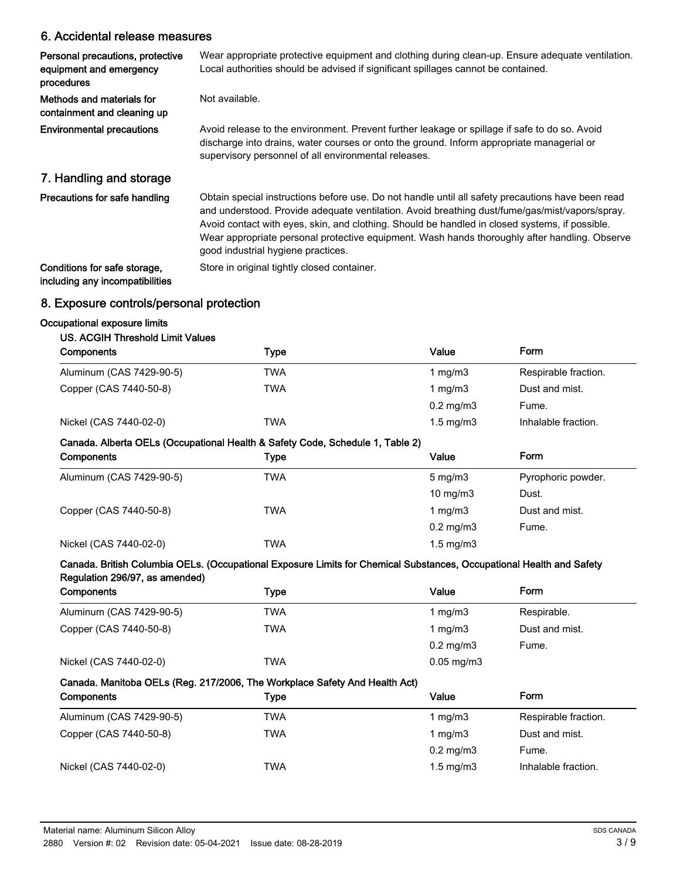### 6. Accidental release measures

| Personal precautions, protective<br>equipment and emergency<br>procedures | Wear appropriate protective equipment and clothing during clean-up. Ensure adequate ventilation.<br>Local authorities should be advised if significant spillages cannot be contained.                                                                                                                                                                                                                                                        |
|---------------------------------------------------------------------------|----------------------------------------------------------------------------------------------------------------------------------------------------------------------------------------------------------------------------------------------------------------------------------------------------------------------------------------------------------------------------------------------------------------------------------------------|
| Methods and materials for<br>containment and cleaning up                  | Not available.                                                                                                                                                                                                                                                                                                                                                                                                                               |
| <b>Environmental precautions</b>                                          | Avoid release to the environment. Prevent further leakage or spillage if safe to do so. Avoid<br>discharge into drains, water courses or onto the ground. Inform appropriate managerial or<br>supervisory personnel of all environmental releases.                                                                                                                                                                                           |
| 7. Handling and storage                                                   |                                                                                                                                                                                                                                                                                                                                                                                                                                              |
| Precautions for safe handling                                             | Obtain special instructions before use. Do not handle until all safety precautions have been read<br>and understood. Provide adequate ventilation. Avoid breathing dust/fume/gas/mist/vapors/spray.<br>Avoid contact with eyes, skin, and clothing. Should be handled in closed systems, if possible.<br>Wear appropriate personal protective equipment. Wash hands thoroughly after handling. Observe<br>good industrial hygiene practices. |
| Conditions for safe storage,<br>including any incompatibilities           | Store in original tightly closed container.                                                                                                                                                                                                                                                                                                                                                                                                  |

### 8. Exposure controls/personal protection

#### Occupational exposure limits

#### US. ACGIH Threshold Limit Values

| Components               | Type | Value              | Form                 |
|--------------------------|------|--------------------|----------------------|
| Aluminum (CAS 7429-90-5) | TWA  | 1 $mg/m3$          | Respirable fraction. |
| Copper (CAS 7440-50-8)   | TWA  | 1 $mg/m3$          | Dust and mist.       |
|                          |      | $0.2 \text{ mg/m}$ | Fume.                |
| Nickel (CAS 7440-02-0)   | TWA  | $1.5 \text{ mg/m}$ | Inhalable fraction.  |

#### Canada. Alberta OELs (Occupational Health & Safety Code, Schedule 1, Table 2)

| Components               | Type | Value                | Form               |
|--------------------------|------|----------------------|--------------------|
| Aluminum (CAS 7429-90-5) | TWA  | $5 \text{ mg/m}$ 3   | Pyrophoric powder. |
|                          |      | 10 mg/m $3$          | Dust.              |
| Copper (CAS 7440-50-8)   | TWA  | 1 mg/m $3$           | Dust and mist.     |
|                          |      | $0.2 \text{ mg/m}$   | Fume.              |
| Nickel (CAS 7440-02-0)   | TWA  | $1.5 \text{ mg/m}$ 3 |                    |

#### Canada. British Columbia OELs. (Occupational Exposure Limits for Chemical Substances, Occupational Health and Safety Regulation 296/97, as amended)

| Components                                                                 | Type | Value                | Form           |  |
|----------------------------------------------------------------------------|------|----------------------|----------------|--|
| Aluminum (CAS 7429-90-5)                                                   | TWA  | 1 mg/m $3$           | Respirable.    |  |
| Copper (CAS 7440-50-8)                                                     | TWA  | 1 $mg/m3$            | Dust and mist. |  |
|                                                                            |      | $0.2 \text{ mg/m}$ 3 | Fume.          |  |
| Nickel (CAS 7440-02-0)                                                     | TWA  | $0.05$ mg/m $3$      |                |  |
| Canada. Manitoba OELs (Reg. 217/2006, The Workplace Safety And Health Act) |      |                      |                |  |
| Components                                                                 | Type | Value                | Form           |  |

| <b>CUTIDUTERS</b>        | i ype | value                | . טווי               |
|--------------------------|-------|----------------------|----------------------|
| Aluminum (CAS 7429-90-5) | TWA   | 1 mg/m3              | Respirable fraction. |
| Copper (CAS 7440-50-8)   | TWA   | 1 mg/m3              | Dust and mist.       |
|                          |       | $0.2 \text{ mg/m}$ 3 | Fume.                |
| Nickel (CAS 7440-02-0)   | TWA   | $1.5 \text{ mg/m}$   | Inhalable fraction.  |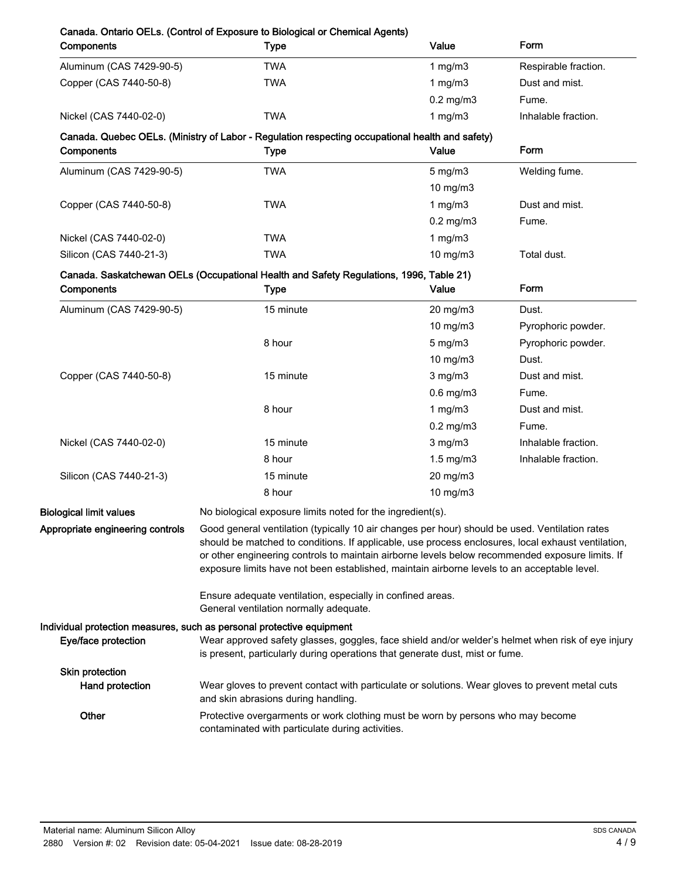| Components                         | <b>Type</b>                                                                                                                                                                                                                                                                                          | Value          | Form                 |
|------------------------------------|------------------------------------------------------------------------------------------------------------------------------------------------------------------------------------------------------------------------------------------------------------------------------------------------------|----------------|----------------------|
| Aluminum (CAS 7429-90-5)           | <b>TWA</b>                                                                                                                                                                                                                                                                                           | 1 $mg/m3$      | Respirable fraction. |
| Copper (CAS 7440-50-8)             | <b>TWA</b>                                                                                                                                                                                                                                                                                           | 1 mg/m $3$     | Dust and mist.       |
|                                    |                                                                                                                                                                                                                                                                                                      | $0.2$ mg/m $3$ | Fume.                |
| Nickel (CAS 7440-02-0)             | <b>TWA</b>                                                                                                                                                                                                                                                                                           | 1 $mg/m3$      | Inhalable fraction.  |
|                                    | Canada. Quebec OELs. (Ministry of Labor - Regulation respecting occupational health and safety)                                                                                                                                                                                                      |                |                      |
| Components                         | <b>Type</b>                                                                                                                                                                                                                                                                                          | Value          | Form                 |
| Aluminum (CAS 7429-90-5)           | <b>TWA</b>                                                                                                                                                                                                                                                                                           | $5$ mg/m $3$   | Welding fume.        |
|                                    |                                                                                                                                                                                                                                                                                                      | 10 mg/m3       |                      |
| Copper (CAS 7440-50-8)             | <b>TWA</b>                                                                                                                                                                                                                                                                                           | 1 $mg/m3$      | Dust and mist.       |
|                                    |                                                                                                                                                                                                                                                                                                      | $0.2$ mg/m $3$ | Fume.                |
| Nickel (CAS 7440-02-0)             | <b>TWA</b>                                                                                                                                                                                                                                                                                           | 1 $mg/m3$      |                      |
| Silicon (CAS 7440-21-3)            | <b>TWA</b>                                                                                                                                                                                                                                                                                           | 10 mg/m3       | Total dust.          |
|                                    | Canada. Saskatchewan OELs (Occupational Health and Safety Regulations, 1996, Table 21)                                                                                                                                                                                                               |                |                      |
| Components                         | <b>Type</b>                                                                                                                                                                                                                                                                                          | Value          | Form                 |
| Aluminum (CAS 7429-90-5)           | 15 minute                                                                                                                                                                                                                                                                                            | 20 mg/m3       | Dust.                |
|                                    |                                                                                                                                                                                                                                                                                                      | 10 mg/m3       | Pyrophoric powder.   |
|                                    | 8 hour                                                                                                                                                                                                                                                                                               | $5$ mg/m $3$   | Pyrophoric powder.   |
|                                    |                                                                                                                                                                                                                                                                                                      | 10 mg/m3       | Dust.                |
| Copper (CAS 7440-50-8)             | 15 minute                                                                                                                                                                                                                                                                                            | $3$ mg/m $3$   | Dust and mist.       |
|                                    |                                                                                                                                                                                                                                                                                                      | $0.6$ mg/m $3$ | Fume.                |
|                                    | 8 hour                                                                                                                                                                                                                                                                                               | 1 $mg/m3$      | Dust and mist.       |
|                                    |                                                                                                                                                                                                                                                                                                      | $0.2$ mg/m $3$ | Fume.                |
| Nickel (CAS 7440-02-0)             | 15 minute                                                                                                                                                                                                                                                                                            | $3$ mg/m $3$   | Inhalable fraction.  |
|                                    | 8 hour                                                                                                                                                                                                                                                                                               | $1.5$ mg/m $3$ | Inhalable fraction.  |
| Silicon (CAS 7440-21-3)            | 15 minute                                                                                                                                                                                                                                                                                            | 20 mg/m3       |                      |
|                                    | 8 hour                                                                                                                                                                                                                                                                                               | 10 mg/m3       |                      |
| <b>Biological limit values</b>     | No biological exposure limits noted for the ingredient(s).                                                                                                                                                                                                                                           |                |                      |
| Appropriate engineering controls   | Good general ventilation (typically 10 air changes per hour) should be used. Ventilation rates                                                                                                                                                                                                       |                |                      |
|                                    | should be matched to conditions. If applicable, use process enclosures, local exhaust ventilation,<br>or other engineering controls to maintain airborne levels below recommended exposure limits. If<br>exposure limits have not been established, maintain airborne levels to an acceptable level. |                |                      |
|                                    | Ensure adequate ventilation, especially in confined areas.<br>General ventilation normally adequate.                                                                                                                                                                                                 |                |                      |
|                                    | Individual protection measures, such as personal protective equipment                                                                                                                                                                                                                                |                |                      |
| Eye/face protection                | Wear approved safety glasses, goggles, face shield and/or welder's helmet when risk of eye injury<br>is present, particularly during operations that generate dust, mist or fume.                                                                                                                    |                |                      |
| Skin protection<br>Hand protection | Wear gloves to prevent contact with particulate or solutions. Wear gloves to prevent metal cuts<br>and skin abrasions during handling.                                                                                                                                                               |                |                      |
| Other                              | Protective overgarments or work clothing must be worn by persons who may become<br>contaminated with particulate during activities.                                                                                                                                                                  |                |                      |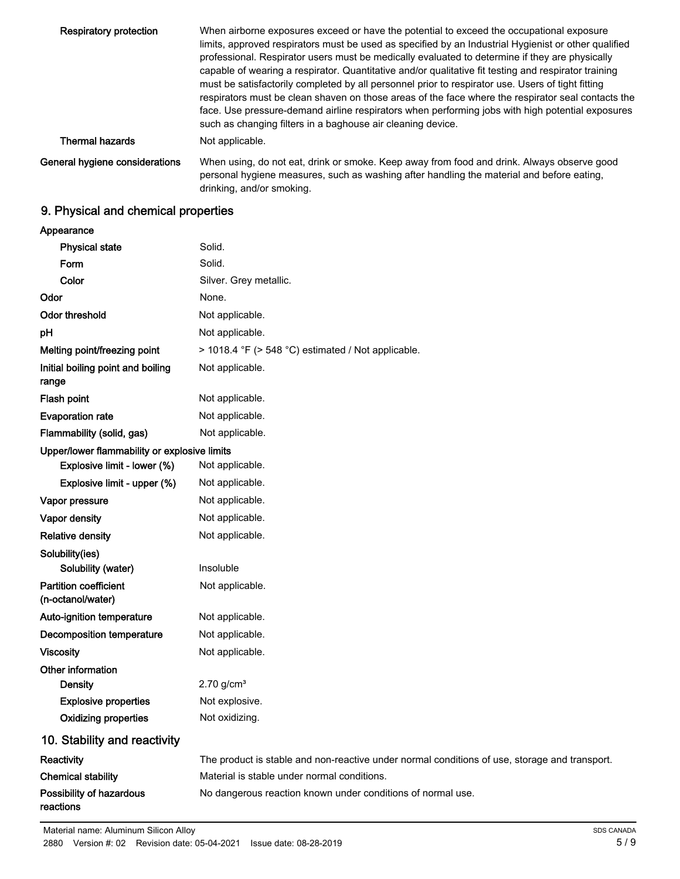| Respiratory protection         | When airborne exposures exceed or have the potential to exceed the occupational exposure<br>limits, approved respirators must be used as specified by an Industrial Hygienist or other qualified<br>professional. Respirator users must be medically evaluated to determine if they are physically<br>capable of wearing a respirator. Quantitative and/or qualitative fit testing and respirator training<br>must be satisfactorily completed by all personnel prior to respirator use. Users of tight fitting<br>respirators must be clean shaven on those areas of the face where the respirator seal contacts the<br>face. Use pressure-demand airline respirators when performing jobs with high potential exposures<br>such as changing filters in a baghouse air cleaning device. |
|--------------------------------|------------------------------------------------------------------------------------------------------------------------------------------------------------------------------------------------------------------------------------------------------------------------------------------------------------------------------------------------------------------------------------------------------------------------------------------------------------------------------------------------------------------------------------------------------------------------------------------------------------------------------------------------------------------------------------------------------------------------------------------------------------------------------------------|
| <b>Thermal hazards</b>         | Not applicable.                                                                                                                                                                                                                                                                                                                                                                                                                                                                                                                                                                                                                                                                                                                                                                          |
| General hygiene considerations | When using, do not eat, drink or smoke. Keep away from food and drink. Always observe good<br>personal hygiene measures, such as washing after handling the material and before eating,<br>drinking, and/or smoking.                                                                                                                                                                                                                                                                                                                                                                                                                                                                                                                                                                     |

# 9. Physical and chemical properties

| Appearance                                        |                                                                                               |
|---------------------------------------------------|-----------------------------------------------------------------------------------------------|
| <b>Physical state</b>                             | Solid.                                                                                        |
| Form                                              | Solid.                                                                                        |
| Color                                             | Silver. Grey metallic.                                                                        |
| Odor                                              | None.                                                                                         |
| <b>Odor threshold</b>                             | Not applicable.                                                                               |
| pH                                                | Not applicable.                                                                               |
| Melting point/freezing point                      | > 1018.4 °F (> 548 °C) estimated / Not applicable.                                            |
| Initial boiling point and boiling<br>range        | Not applicable.                                                                               |
| <b>Flash point</b>                                | Not applicable.                                                                               |
| <b>Evaporation rate</b>                           | Not applicable.                                                                               |
| Flammability (solid, gas)                         | Not applicable.                                                                               |
| Upper/lower flammability or explosive limits      |                                                                                               |
| Explosive limit - lower (%)                       | Not applicable.                                                                               |
| Explosive limit - upper (%)                       | Not applicable.                                                                               |
| Vapor pressure                                    | Not applicable.                                                                               |
| Vapor density                                     | Not applicable.                                                                               |
| <b>Relative density</b>                           | Not applicable.                                                                               |
| Solubility(ies)                                   |                                                                                               |
| Solubility (water)                                | Insoluble                                                                                     |
| <b>Partition coefficient</b><br>(n-octanol/water) | Not applicable.                                                                               |
| Auto-ignition temperature                         | Not applicable.                                                                               |
| Decomposition temperature                         | Not applicable.                                                                               |
| <b>Viscosity</b>                                  | Not applicable.                                                                               |
| Other information                                 |                                                                                               |
| <b>Density</b>                                    | $2.70$ g/cm <sup>3</sup>                                                                      |
| <b>Explosive properties</b>                       | Not explosive.                                                                                |
| <b>Oxidizing properties</b>                       | Not oxidizing.                                                                                |
| 10. Stability and reactivity                      |                                                                                               |
| Reactivity                                        | The product is stable and non-reactive under normal conditions of use, storage and transport. |
| <b>Chemical stability</b>                         | Material is stable under normal conditions.                                                   |
| Possibility of hazardous<br>reactions             | No dangerous reaction known under conditions of normal use.                                   |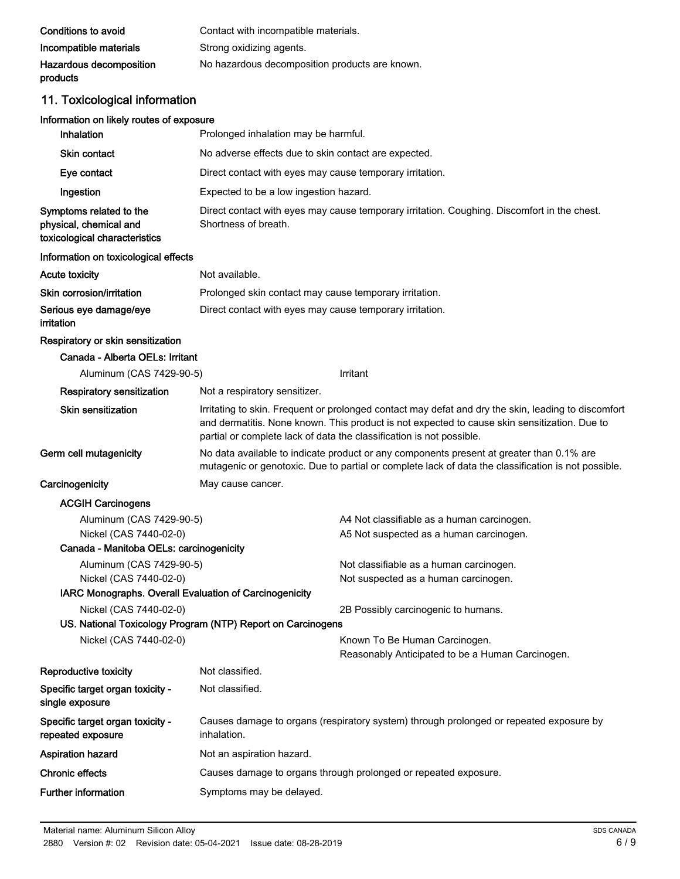| Conditions to avoid                 | Contact with incompatible materials.           |
|-------------------------------------|------------------------------------------------|
| Incompatible materials              | Strong oxidizing agents.                       |
| Hazardous decomposition<br>products | No hazardous decomposition products are known. |

# 11. Toxicological information

# Information on likely routes of exposure

| Inhalation                                                                                    | Prolonged inhalation may be harmful.                                                                                                                                                            |                                                                                                                                                                                                                                                                             |  |
|-----------------------------------------------------------------------------------------------|-------------------------------------------------------------------------------------------------------------------------------------------------------------------------------------------------|-----------------------------------------------------------------------------------------------------------------------------------------------------------------------------------------------------------------------------------------------------------------------------|--|
| Skin contact                                                                                  | No adverse effects due to skin contact are expected.                                                                                                                                            |                                                                                                                                                                                                                                                                             |  |
| Eye contact                                                                                   |                                                                                                                                                                                                 | Direct contact with eyes may cause temporary irritation.                                                                                                                                                                                                                    |  |
| Ingestion                                                                                     | Expected to be a low ingestion hazard.                                                                                                                                                          |                                                                                                                                                                                                                                                                             |  |
| Symptoms related to the<br>physical, chemical and<br>toxicological characteristics            | Direct contact with eyes may cause temporary irritation. Coughing. Discomfort in the chest.<br>Shortness of breath.                                                                             |                                                                                                                                                                                                                                                                             |  |
| Information on toxicological effects                                                          |                                                                                                                                                                                                 |                                                                                                                                                                                                                                                                             |  |
| <b>Acute toxicity</b>                                                                         | Not available.                                                                                                                                                                                  |                                                                                                                                                                                                                                                                             |  |
| Skin corrosion/irritation                                                                     | Prolonged skin contact may cause temporary irritation.                                                                                                                                          |                                                                                                                                                                                                                                                                             |  |
| Serious eye damage/eye<br>irritation                                                          | Direct contact with eyes may cause temporary irritation.                                                                                                                                        |                                                                                                                                                                                                                                                                             |  |
| Respiratory or skin sensitization                                                             |                                                                                                                                                                                                 |                                                                                                                                                                                                                                                                             |  |
| Canada - Alberta OELs: Irritant                                                               |                                                                                                                                                                                                 |                                                                                                                                                                                                                                                                             |  |
| Aluminum (CAS 7429-90-5)                                                                      |                                                                                                                                                                                                 | Irritant                                                                                                                                                                                                                                                                    |  |
| <b>Respiratory sensitization</b>                                                              | Not a respiratory sensitizer.                                                                                                                                                                   |                                                                                                                                                                                                                                                                             |  |
| <b>Skin sensitization</b>                                                                     |                                                                                                                                                                                                 | Irritating to skin. Frequent or prolonged contact may defat and dry the skin, leading to discomfort<br>and dermatitis. None known. This product is not expected to cause skin sensitization. Due to<br>partial or complete lack of data the classification is not possible. |  |
| Germ cell mutagenicity                                                                        | No data available to indicate product or any components present at greater than 0.1% are<br>mutagenic or genotoxic. Due to partial or complete lack of data the classification is not possible. |                                                                                                                                                                                                                                                                             |  |
| Carcinogenicity                                                                               | May cause cancer.                                                                                                                                                                               |                                                                                                                                                                                                                                                                             |  |
| <b>ACGIH Carcinogens</b>                                                                      |                                                                                                                                                                                                 |                                                                                                                                                                                                                                                                             |  |
| Aluminum (CAS 7429-90-5)<br>Nickel (CAS 7440-02-0)<br>Canada - Manitoba OELs: carcinogenicity |                                                                                                                                                                                                 | A4 Not classifiable as a human carcinogen.<br>A5 Not suspected as a human carcinogen.                                                                                                                                                                                       |  |
| Aluminum (CAS 7429-90-5)                                                                      |                                                                                                                                                                                                 | Not classifiable as a human carcinogen.                                                                                                                                                                                                                                     |  |
| Nickel (CAS 7440-02-0)                                                                        |                                                                                                                                                                                                 | Not suspected as a human carcinogen.                                                                                                                                                                                                                                        |  |
| IARC Monographs. Overall Evaluation of Carcinogenicity                                        |                                                                                                                                                                                                 |                                                                                                                                                                                                                                                                             |  |
| Nickel (CAS 7440-02-0)                                                                        | US. National Toxicology Program (NTP) Report on Carcinogens                                                                                                                                     | 2B Possibly carcinogenic to humans.                                                                                                                                                                                                                                         |  |
| Nickel (CAS 7440-02-0)                                                                        |                                                                                                                                                                                                 | Known To Be Human Carcinogen.<br>Reasonably Anticipated to be a Human Carcinogen.                                                                                                                                                                                           |  |
| Reproductive toxicity                                                                         | Not classified.                                                                                                                                                                                 |                                                                                                                                                                                                                                                                             |  |
| Specific target organ toxicity -<br>single exposure                                           | Not classified.                                                                                                                                                                                 |                                                                                                                                                                                                                                                                             |  |
| Specific target organ toxicity -<br>repeated exposure                                         | Causes damage to organs (respiratory system) through prolonged or repeated exposure by<br>inhalation.                                                                                           |                                                                                                                                                                                                                                                                             |  |
| <b>Aspiration hazard</b>                                                                      | Not an aspiration hazard.                                                                                                                                                                       |                                                                                                                                                                                                                                                                             |  |
| <b>Chronic effects</b>                                                                        |                                                                                                                                                                                                 | Causes damage to organs through prolonged or repeated exposure.                                                                                                                                                                                                             |  |
| <b>Further information</b>                                                                    | Symptoms may be delayed.                                                                                                                                                                        |                                                                                                                                                                                                                                                                             |  |
|                                                                                               |                                                                                                                                                                                                 |                                                                                                                                                                                                                                                                             |  |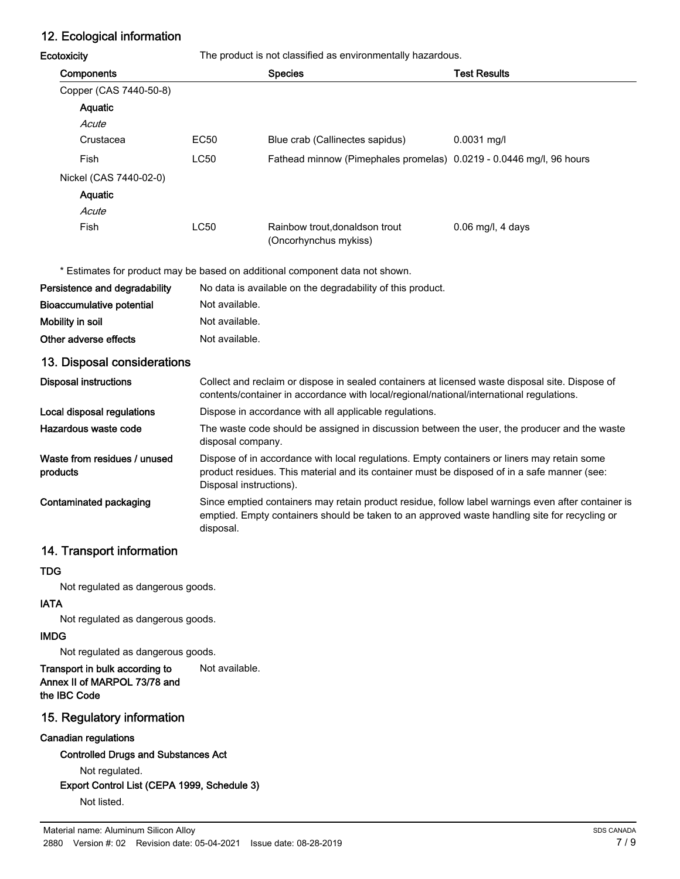# 12. Ecological information

Ecotoxicity The product is not classified as environmentally hazardous.

| Components             |             | <b>Species</b>                                                      | <b>Test Results</b> |
|------------------------|-------------|---------------------------------------------------------------------|---------------------|
| Copper (CAS 7440-50-8) |             |                                                                     |                     |
| Aquatic                |             |                                                                     |                     |
| Acute                  |             |                                                                     |                     |
| Crustacea              | EC50        | Blue crab (Callinectes sapidus)                                     | $0.0031$ mg/l       |
| Fish                   | <b>LC50</b> | Fathead minnow (Pimephales promelas) 0.0219 - 0.0446 mg/l, 96 hours |                     |
| Nickel (CAS 7440-02-0) |             |                                                                     |                     |
| Aquatic                |             |                                                                     |                     |
| Acute                  |             |                                                                     |                     |
| <b>Fish</b>            | <b>LC50</b> | Rainbow trout, donaldson trout<br>(Oncorhynchus mykiss)             | $0.06$ mg/l, 4 days |

\* Estimates for product may be based on additional component data not shown.

| Persistence and degradability | No data is available on the degradability of this product. |
|-------------------------------|------------------------------------------------------------|
| Bioaccumulative potential     | Not available.                                             |
| Mobility in soil              | Not available.                                             |
| Other adverse effects         | Not available.                                             |
|                               |                                                            |

## 13. Disposal considerations

| <b>Disposal instructions</b>             | Collect and reclaim or dispose in sealed containers at licensed waste disposal site. Dispose of<br>contents/container in accordance with local/regional/national/international regulations.                            |
|------------------------------------------|------------------------------------------------------------------------------------------------------------------------------------------------------------------------------------------------------------------------|
| Local disposal regulations               | Dispose in accordance with all applicable regulations.                                                                                                                                                                 |
| Hazardous waste code                     | The waste code should be assigned in discussion between the user, the producer and the waste<br>disposal company.                                                                                                      |
| Waste from residues / unused<br>products | Dispose of in accordance with local regulations. Empty containers or liners may retain some<br>product residues. This material and its container must be disposed of in a safe manner (see:<br>Disposal instructions). |
| Contaminated packaging                   | Since emptied containers may retain product residue, follow label warnings even after container is<br>emptied. Empty containers should be taken to an approved waste handling site for recycling or<br>disposal.       |

### 14. Transport information

#### TDG

Not regulated as dangerous goods.

### IATA

Not regulated as dangerous goods.

#### IMDG

Not regulated as dangerous goods.

### Transport in bulk according to Not available. Annex II of MARPOL 73/78 and the IBC Code

### 15. Regulatory information

#### Canadian regulations

Controlled Drugs and Substances Act

Not regulated.

Export Control List (CEPA 1999, Schedule 3)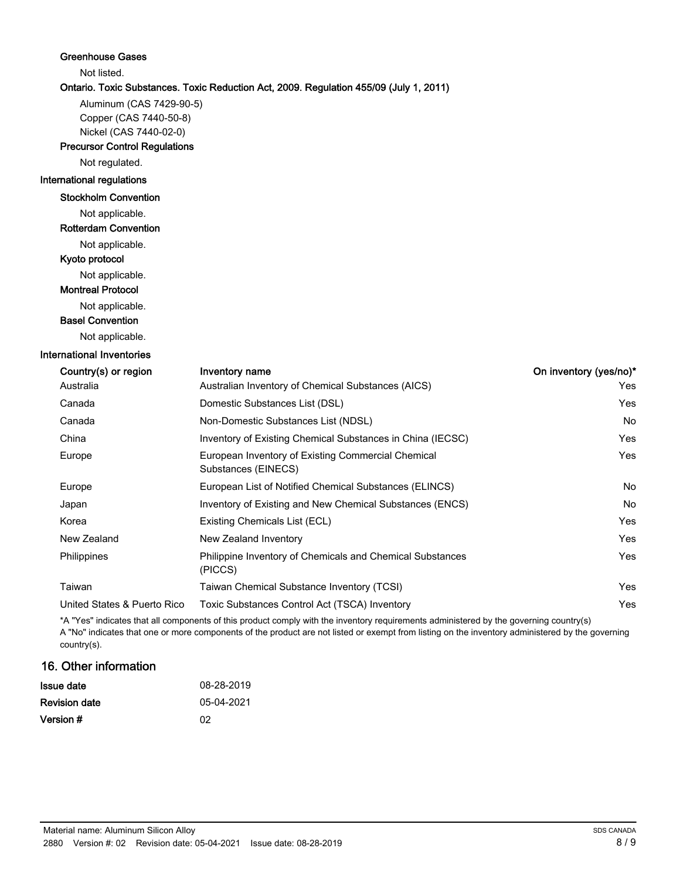| <b>Greenhouse Gases</b>              |                                                                                        |                        |
|--------------------------------------|----------------------------------------------------------------------------------------|------------------------|
| Not listed.                          |                                                                                        |                        |
|                                      | Ontario. Toxic Substances. Toxic Reduction Act, 2009. Regulation 455/09 (July 1, 2011) |                        |
| Aluminum (CAS 7429-90-5)             |                                                                                        |                        |
| Copper (CAS 7440-50-8)               |                                                                                        |                        |
| Nickel (CAS 7440-02-0)               |                                                                                        |                        |
| <b>Precursor Control Regulations</b> |                                                                                        |                        |
| Not regulated.                       |                                                                                        |                        |
| International regulations            |                                                                                        |                        |
| <b>Stockholm Convention</b>          |                                                                                        |                        |
| Not applicable.                      |                                                                                        |                        |
| <b>Rotterdam Convention</b>          |                                                                                        |                        |
| Not applicable.                      |                                                                                        |                        |
| Kyoto protocol                       |                                                                                        |                        |
| Not applicable.                      |                                                                                        |                        |
| <b>Montreal Protocol</b>             |                                                                                        |                        |
| Not applicable.                      |                                                                                        |                        |
| <b>Basel Convention</b>              |                                                                                        |                        |
| Not applicable.                      |                                                                                        |                        |
| <b>International Inventories</b>     |                                                                                        |                        |
| Country(s) or region                 | Inventory name                                                                         | On inventory (yes/no)* |
| Australia                            | Australian Inventory of Chemical Substances (AICS)                                     | Yes                    |
| Canada                               | Domestic Substances List (DSL)                                                         | Yes                    |
| Canada                               | Non-Domestic Substances List (NDSL)                                                    | No                     |
| China                                | Inventory of Existing Chemical Substances in China (IECSC)                             | Yes                    |
| Europe                               | European Inventory of Existing Commercial Chemical<br>Substances (EINECS)              | Yes                    |
| Europe                               | European List of Notified Chemical Substances (ELINCS)                                 | No                     |
| Japan                                | Inventory of Existing and New Chemical Substances (ENCS)                               | No                     |
| Korea                                | Existing Chemicals List (ECL)                                                          | Yes                    |
| New Zealand                          | New Zealand Inventory                                                                  | Yes                    |
| Philippines                          | Philippine Inventory of Chemicals and Chemical Substances<br>(PICCS)                   | Yes                    |
| Taiwan                               | Taiwan Chemical Substance Inventory (TCSI)                                             | Yes                    |
| United States & Puerto Rico          | Toxic Substances Control Act (TSCA) Inventory                                          | Yes                    |
|                                      |                                                                                        |                        |

\*A "Yes" indicates that all components of this product comply with the inventory requirements administered by the governing country(s) A "No" indicates that one or more components of the product are not listed or exempt from listing on the inventory administered by the governing country(s).

# 16. Other information

| Issue date    | 08-28-2019 |
|---------------|------------|
| Revision date | 05-04-2021 |
| Version #     | በ2         |